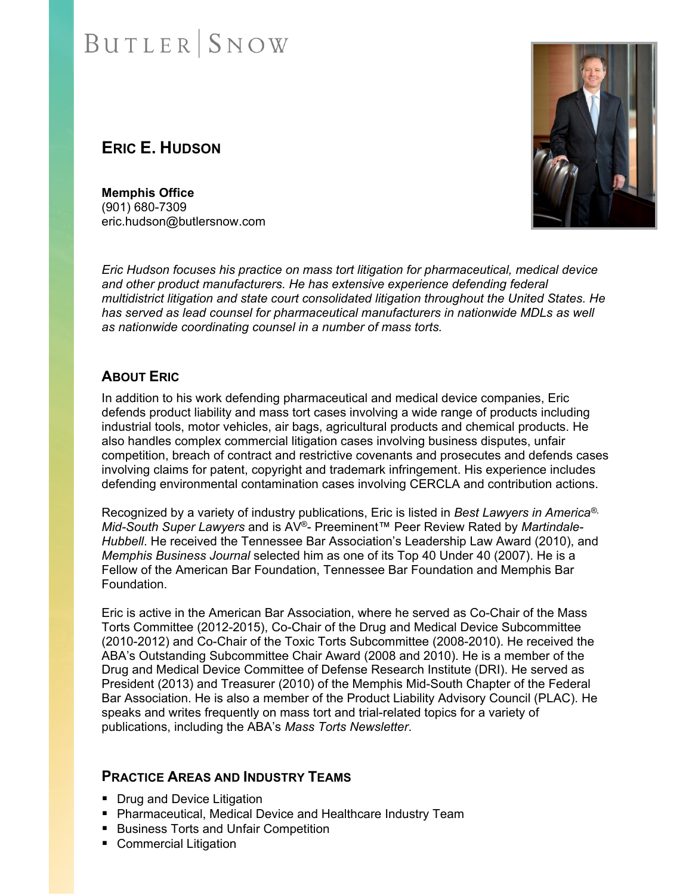### **ERIC E. HUDSON**

**Memphis Office**  (901) 680-7309 eric.hudson@butlersnow.com

*Eric Hudson focuses his practice on mass tort litigation for pharmaceutical, medical device*  and other product manufacturers. He has extensive experience defending federal *multidistrict litigation and state court consolidated litigation throughout the United States. He has served as lead counsel for pharmaceutical manufacturers in nationwide MDLs as well as nationwide coordinating counsel in a number of mass torts.* 

#### **ABOUT ERIC**

In addition to his work defending pharmaceutical and medical device companies, Eric defends product liability and mass tort cases involving a wide range of products including industrial tools, motor vehicles, air bags, agricultural products and chemical products. He also handles complex commercial litigation cases involving business disputes, unfair competition, breach of contract and restrictive covenants and prosecutes and defends cases involving claims for patent, copyright and trademark infringement. His experience includes defending environmental contamination cases involving CERCLA and contribution actions.

Recognized by a variety of industry publications, Eric is listed in *Best Lawyers in America®*, *Mid-South Super Lawyers* and is AV®- Preeminent™ Peer Review Rated by *Martindale-Hubbell*. He received the Tennessee Bar Association's Leadership Law Award (2010), and *Memphis Business Journal* selected him as one of its Top 40 Under 40 (2007). He is a Fellow of the American Bar Foundation, Tennessee Bar Foundation and Memphis Bar Foundation.

Eric is active in the American Bar Association, where he served as Co-Chair of the Mass Torts Committee (2012-2015), Co-Chair of the Drug and Medical Device Subcommittee (2010-2012) and Co-Chair of the Toxic Torts Subcommittee (2008-2010). He received the ABA's Outstanding Subcommittee Chair Award (2008 and 2010). He is a member of the Drug and Medical Device Committee of Defense Research Institute (DRI). He served as President (2013) and Treasurer (2010) of the Memphis Mid-South Chapter of the Federal Bar Association. He is also a member of the Product Liability Advisory Council (PLAC). He speaks and writes frequently on mass tort and trial-related topics for a variety of publications, including the ABA's *Mass Torts Newsletter*.

#### **PRACTICE AREAS AND INDUSTRY TEAMS**

- Drug and Device Litigation
- **Pharmaceutical, Medical Device and Healthcare Industry Team**
- Business Torts and Unfair Competition
- **Commercial Litigation**

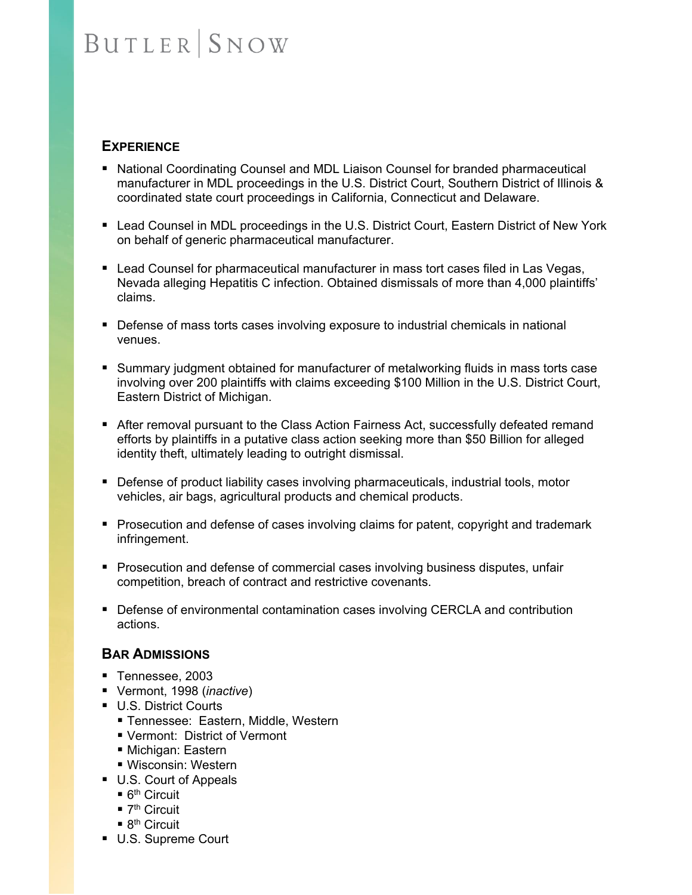#### **EXPERIENCE**

- National Coordinating Counsel and MDL Liaison Counsel for branded pharmaceutical manufacturer in MDL proceedings in the U.S. District Court, Southern District of Illinois & coordinated state court proceedings in California, Connecticut and Delaware.
- Lead Counsel in MDL proceedings in the U.S. District Court, Eastern District of New York on behalf of generic pharmaceutical manufacturer.
- **Lead Counsel for pharmaceutical manufacturer in mass tort cases filed in Las Vegas,** Nevada alleging Hepatitis C infection. Obtained dismissals of more than 4,000 plaintiffs' claims.
- Defense of mass torts cases involving exposure to industrial chemicals in national venues.
- **Summary judgment obtained for manufacturer of metalworking fluids in mass torts case** involving over 200 plaintiffs with claims exceeding \$100 Million in the U.S. District Court, Eastern District of Michigan.
- After removal pursuant to the Class Action Fairness Act, successfully defeated remand efforts by plaintiffs in a putative class action seeking more than \$50 Billion for alleged identity theft, ultimately leading to outright dismissal.
- **Defense of product liability cases involving pharmaceuticals, industrial tools, motor** vehicles, air bags, agricultural products and chemical products.
- **Prosecution and defense of cases involving claims for patent, copyright and trademark** infringement.
- **Prosecution and defense of commercial cases involving business disputes, unfair** competition, breach of contract and restrictive covenants.
- Defense of environmental contamination cases involving CERCLA and contribution actions.

#### **BAR ADMISSIONS**

- Tennessee, 2003
- Vermont, 1998 (*inactive*)
- **U.S. District Courts** 
	- Tennessee: Eastern, Middle, Western
	- Vermont: District of Vermont
	- Michigan: Eastern
	- Wisconsin: Western
- U.S. Court of Appeals
	- $\blacksquare$  6<sup>th</sup> Circuit
	- $\blacksquare$  7<sup>th</sup> Circuit
	- $\blacksquare$  8<sup>th</sup> Circuit
- U.S. Supreme Court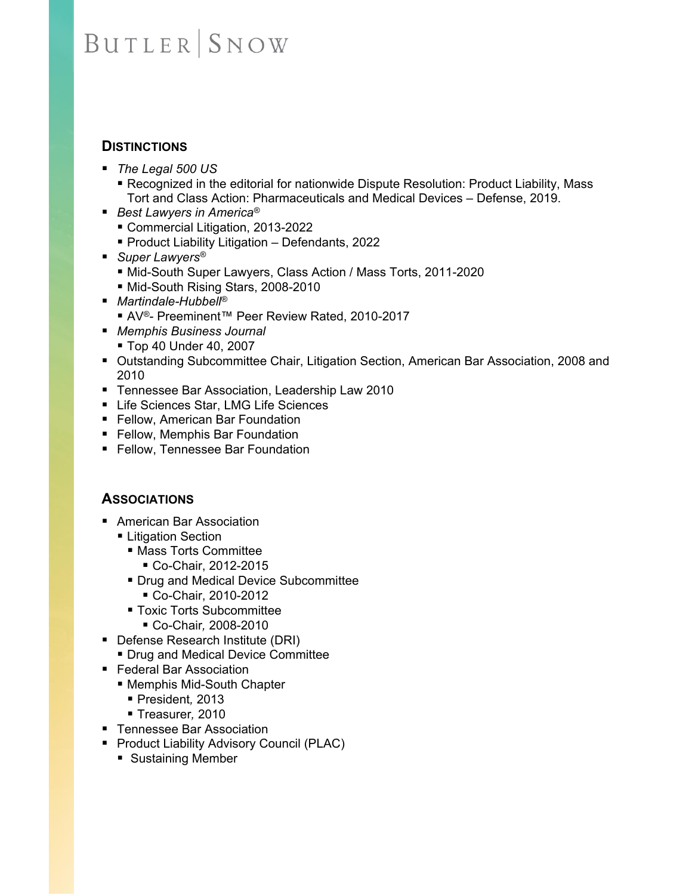#### **DISTINCTIONS**

- *The Legal 500 US* 
	- Recognized in the editorial for nationwide Dispute Resolution: Product Liability, Mass Tort and Class Action: Pharmaceuticals and Medical Devices – Defense, 2019.
- *Best Lawyers in America<sup>®</sup>* 
	- Commercial Litigation, 2013-2022
	- Product Liability Litigation Defendants, 2022
- Super Lawyers<sup>®</sup>
	- Mid-South Super Lawyers, Class Action / Mass Torts, 2011-2020
	- Mid-South Rising Stars, 2008-2010
- *Martindale-Hubbell®*
	- AV<sup>®</sup>- Preeminent™ Peer Review Rated, 2010-2017
- *Memphis Business Journal*
	- Top 40 Under 40, 2007
- Outstanding Subcommittee Chair, Litigation Section, American Bar Association, 2008 and 2010
- Tennessee Bar Association, Leadership Law 2010
- Life Sciences Star, LMG Life Sciences
- **Fellow, American Bar Foundation**
- **Fellow, Memphis Bar Foundation**
- Fellow, Tennessee Bar Foundation

#### **ASSOCIATIONS**

- American Bar Association
	- **Example 1** Litigation
		- Mass Torts Committee
			- Co-Chair, 2012-2015
		- **Drug and Medical Device Subcommittee** 
			- Co-Chair, 2010-2012
		- **Toxic Torts Subcommittee** 
			- Co-Chair*,* 2008-2010
- Defense Research Institute (DRI)
	- Drug and Medical Device Committee
- Federal Bar Association
	- Memphis Mid-South Chapter
		- President*,* 2013
		- Treasurer*,* 2010
- Tennessee Bar Association
- **Product Liability Advisory Council (PLAC)** 
	- **Sustaining Member**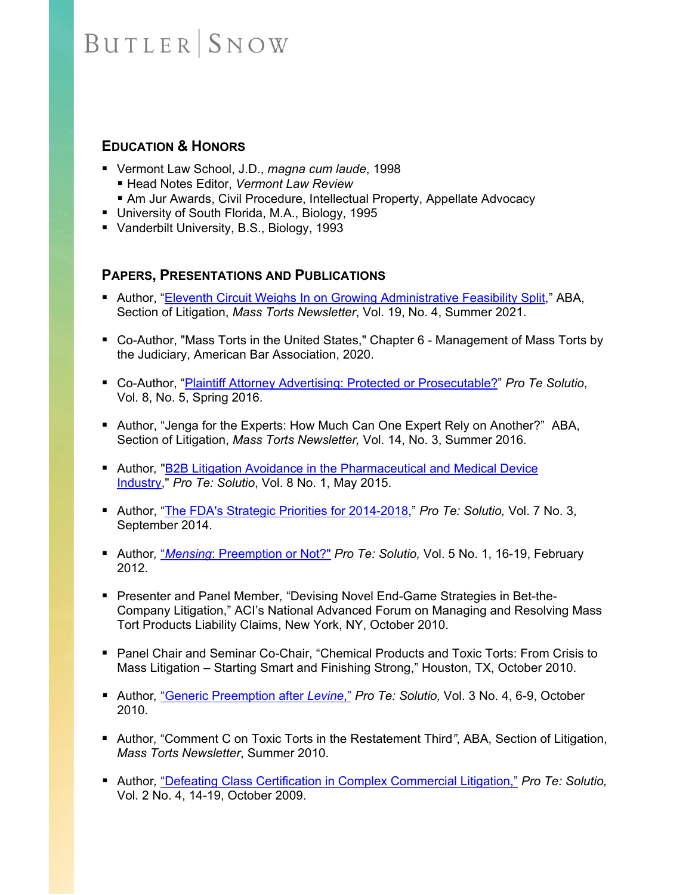#### **EDUCATION & HONORS**

- Vermont Law School, J.D., *magna cum laude*, 1998
	- Head Notes Editor, *Vermont Law Review*
	- Am Jur Awards, Civil Procedure, Intellectual Property, Appellate Advocacy
- University of South Florida, M.A., Biology, 1995
- Vanderbilt University, B.S., Biology, 1993

#### **PAPERS, PRESENTATIONS AND PUBLICATIONS**

- Author, "Eleventh Circuit Weighs In on Growing Administrative Feasibility Split," ABA, Section of Litigation, *Mass Torts Newsletter*, Vol. 19, No. 4, Summer 2021.
- Co-Author, "Mass Torts in the United States," Chapter 6 Management of Mass Torts by the Judiciary, American Bar Association, 2020.
- Co-Author, "Plaintiff Attorney Advertising: Protected or Prosecutable?" *Pro Te Solutio*, Vol. 8, No. 5, Spring 2016.
- Author, "Jenga for the Experts: How Much Can One Expert Rely on Another?"ABA, Section of Litigation, *Mass Torts Newsletter,* Vol. 14, No. 3, Summer 2016*.*
- **Author, "B2B Litigation Avoidance in the Pharmaceutical and Medical Device** Industry," *Pro Te: Solutio*, Vol. 8 No. 1, May 2015.
- Author, "The FDA's Strategic Priorities for 2014-2018," *Pro Te: Solutio*, Vol. 7 No. 3, September 2014.
- Author, *"Mensing: Preemption or Not?" Pro Te: Solutio, Vol. 5 No. 1, 16-19, February* 2012.
- Presenter and Panel Member*,* "Devising Novel End-Game Strategies in Bet-the-Company Litigation," ACI's National Advanced Forum on Managing and Resolving Mass Tort Products Liability Claims, New York, NY, October 2010.
- **Panel Chair and Seminar Co-Chair, "Chemical Products and Toxic Torts: From Crisis to** Mass Litigation – Starting Smart and Finishing Strong," Houston, TX, October 2010.
- Author, "Generic Preemption after *Levine*," *Pro Te: Solutio*, Vol. 3 No. 4, 6-9, October 2010.
- Author, "Comment C on Toxic Torts in the Restatement Third", ABA, Section of Litigation, *Mass Torts Newsletter*, Summer 2010.
- **Author, "Defeating Class Certification in Complex Commercial Litigation,"** *Pro Te: Solutio***,** Vol. 2 No. 4, 14-19, October 2009.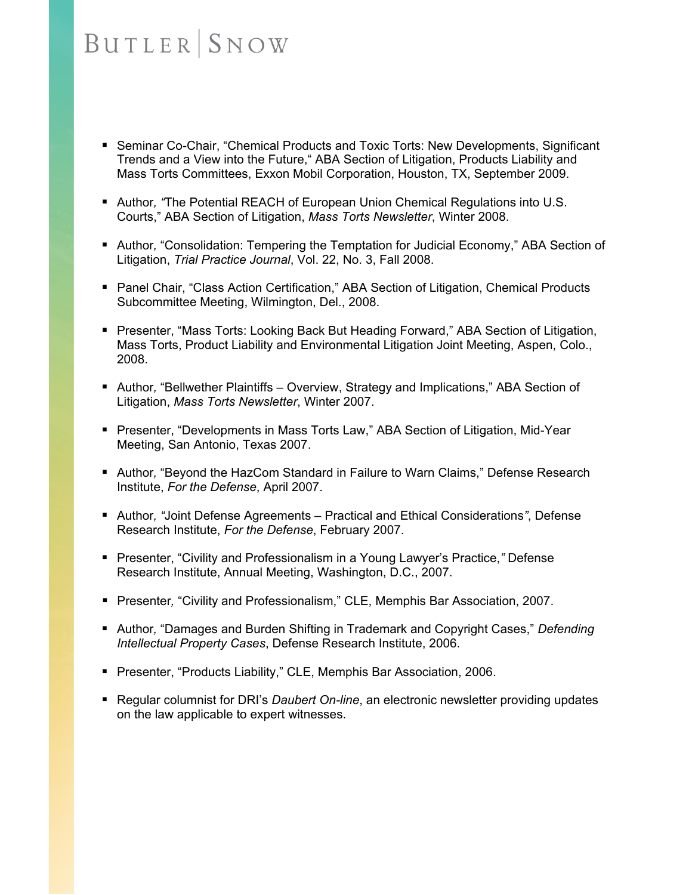- **Seminar Co-Chair, "Chemical Products and Toxic Torts: New Developments, Significant** Trends and a View into the Future," ABA Section of Litigation, Products Liability and Mass Torts Committees, Exxon Mobil Corporation, Houston, TX, September 2009.
- **Author, "The Potential REACH of European Union Chemical Regulations into U.S.** Courts," ABA Section of Litigation, *Mass Torts Newsletter*, Winter 2008.
- **Author, "Consolidation: Tempering the Temptation for Judicial Economy," ABA Section of** Litigation, *Trial Practice Journal*, Vol. 22, No. 3, Fall 2008.
- Panel Chair, "Class Action Certification," ABA Section of Litigation, Chemical Products Subcommittee Meeting, Wilmington, Del., 2008.
- Presenter, "Mass Torts: Looking Back But Heading Forward," ABA Section of Litigation, Mass Torts, Product Liability and Environmental Litigation Joint Meeting, Aspen, Colo., 2008.
- **Author, "Bellwether Plaintiffs Overview, Strategy and Implications," ABA Section of** Litigation, *Mass Torts Newsletter*, Winter 2007.
- Presenter, "Developments in Mass Torts Law," ABA Section of Litigation, Mid-Year Meeting, San Antonio, Texas 2007.
- Author, "Beyond the HazCom Standard in Failure to Warn Claims," Defense Research Institute, *For the Defense*, April 2007.
- Author*, "*Joint Defense Agreements Practical and Ethical Considerations*"*, Defense Research Institute, *For the Defense*, February 2007.
- Presenter, "Civility and Professionalism in a Young Lawyer's Practice," Defense Research Institute, Annual Meeting, Washington, D.C., 2007.
- Presenter*,* "Civility and Professionalism," CLE, Memphis Bar Association, 2007.
- Author, "Damages and Burden Shifting in Trademark and Copyright Cases," *Defending Intellectual Property Cases*, Defense Research Institute, 2006.
- **Presenter, "Products Liability," CLE, Memphis Bar Association, 2006.**
- Regular columnist for DRI's *Daubert On-line*, an electronic newsletter providing updates on the law applicable to expert witnesses.